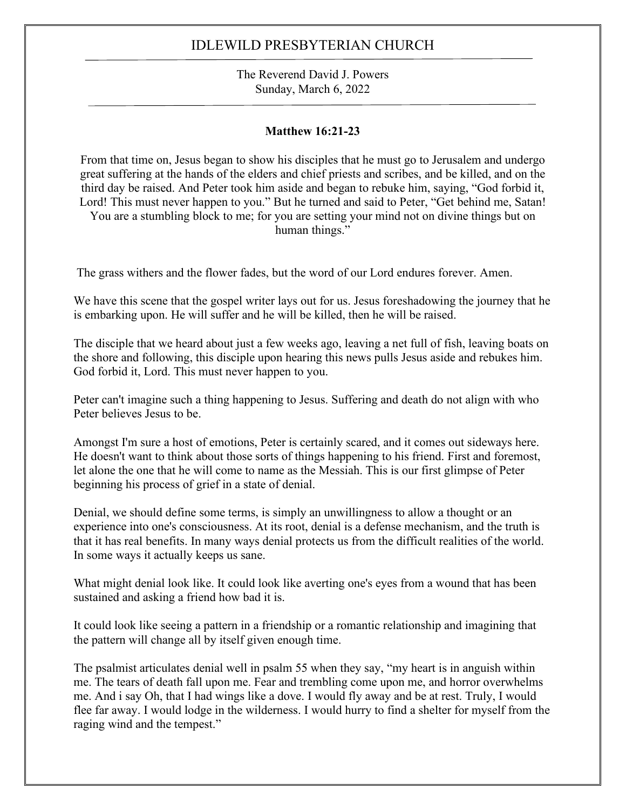The Reverend David J. Powers Sunday, March 6, 2022

### **Matthew 16:21-23**

From that time on, Jesus began to show his disciples that he must go to Jerusalem and undergo great suffering at the hands of the elders and chief priests and scribes, and be killed, and on the third day be raised. And Peter took him aside and began to rebuke him, saying, "God forbid it, Lord! This must never happen to you." But he turned and said to Peter, "Get behind me, Satan! You are a stumbling block to me; for you are setting your mind not on divine things but on human things."

The grass withers and the flower fades, but the word of our Lord endures forever. Amen.

We have this scene that the gospel writer lays out for us. Jesus foreshadowing the journey that he is embarking upon. He will suffer and he will be killed, then he will be raised.

The disciple that we heard about just a few weeks ago, leaving a net full of fish, leaving boats on the shore and following, this disciple upon hearing this news pulls Jesus aside and rebukes him. God forbid it, Lord. This must never happen to you.

Peter can't imagine such a thing happening to Jesus. Suffering and death do not align with who Peter believes Jesus to be.

Amongst I'm sure a host of emotions, Peter is certainly scared, and it comes out sideways here. He doesn't want to think about those sorts of things happening to his friend. First and foremost, let alone the one that he will come to name as the Messiah. This is our first glimpse of Peter beginning his process of grief in a state of denial.

Denial, we should define some terms, is simply an unwillingness to allow a thought or an experience into one's consciousness. At its root, denial is a defense mechanism, and the truth is that it has real benefits. In many ways denial protects us from the difficult realities of the world. In some ways it actually keeps us sane.

What might denial look like. It could look like averting one's eyes from a wound that has been sustained and asking a friend how bad it is.

It could look like seeing a pattern in a friendship or a romantic relationship and imagining that the pattern will change all by itself given enough time.

The psalmist articulates denial well in psalm 55 when they say, "my heart is in anguish within me. The tears of death fall upon me. Fear and trembling come upon me, and horror overwhelms me. And i say Oh, that I had wings like a dove. I would fly away and be at rest. Truly, I would flee far away. I would lodge in the wilderness. I would hurry to find a shelter for myself from the raging wind and the tempest."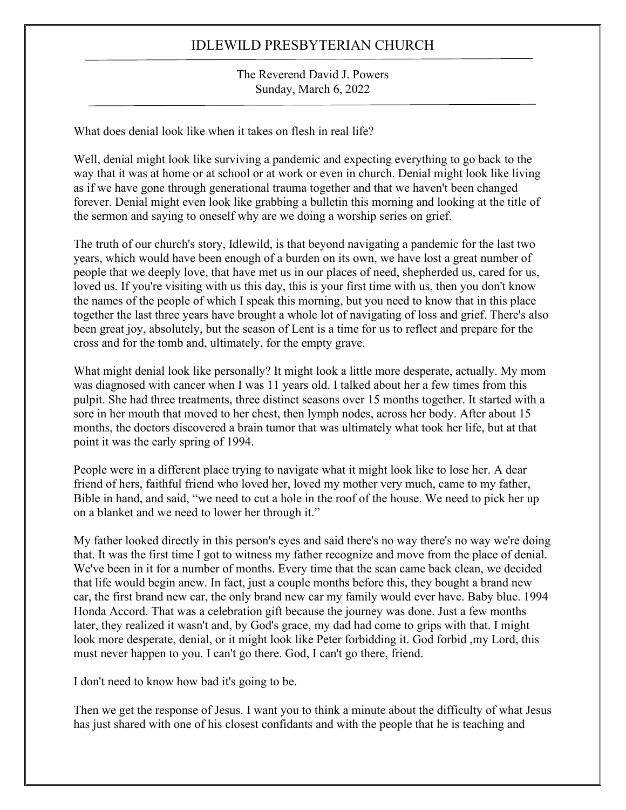#### The Reverend David J. Powers Sunday, March 6, 2022

What does denial look like when it takes on flesh in real life?

Well, denial might look like surviving a pandemic and expecting everything to go back to the way that it was at home or at school or at work or even in church. Denial might look like living as if we have gone through generational trauma together and that we haven't been changed forever. Denial might even look like grabbing a bulletin this morning and looking at the title of the sermon and saying to oneself why are we doing a worship series on grief.

The truth of our church's story, Idlewild, is that beyond navigating a pandemic for the last two years, which would have been enough of a burden on its own, we have lost a great number of people that we deeply love, that have met us in our places of need, shepherded us, cared for us, loved us. If you're visiting with us this day, this is your first time with us, then you don't know the names of the people of which I speak this morning, but you need to know that in this place together the last three years have brought a whole lot of navigating of loss and grief. There's also been great joy, absolutely, but the season of Lent is a time for us to reflect and prepare for the cross and for the tomb and, ultimately, for the empty grave.

What might denial look like personally? It might look a little more desperate, actually. My mom was diagnosed with cancer when I was 11 years old. I talked about her a few times from this pulpit. She had three treatments, three distinct seasons over 15 months together. It started with a sore in her mouth that moved to her chest, then lymph nodes, across her body. After about 15 months, the doctors discovered a brain tumor that was ultimately what took her life, but at that point it was the early spring of 1994.

People were in a different place trying to navigate what it might look like to lose her. A dear friend of hers, faithful friend who loved her, loved my mother very much, came to my father, Bible in hand, and said, "we need to cut a hole in the roof of the house. We need to pick her up on a blanket and we need to lower her through it."

My father looked directly in this person's eyes and said there's no way there's no way we're doing that. It was the first time I got to witness my father recognize and move from the place of denial. We've been in it for a number of months. Every time that the scan came back clean, we decided that life would begin anew. In fact, just a couple months before this, they bought a brand new car, the first brand new car, the only brand new car my family would ever have. Baby blue. 1994 Honda Accord. That was a celebration gift because the journey was done. Just a few months later, they realized it wasn't and, by God's grace, my dad had come to grips with that. I might look more desperate, denial, or it might look like Peter forbidding it. God forbid ,my Lord, this must never happen to you. I can't go there. God, I can't go there, friend.

I don't need to know how bad it's going to be.

Then we get the response of Jesus. I want you to think a minute about the difficulty of what Jesus has just shared with one of his closest confidants and with the people that he is teaching and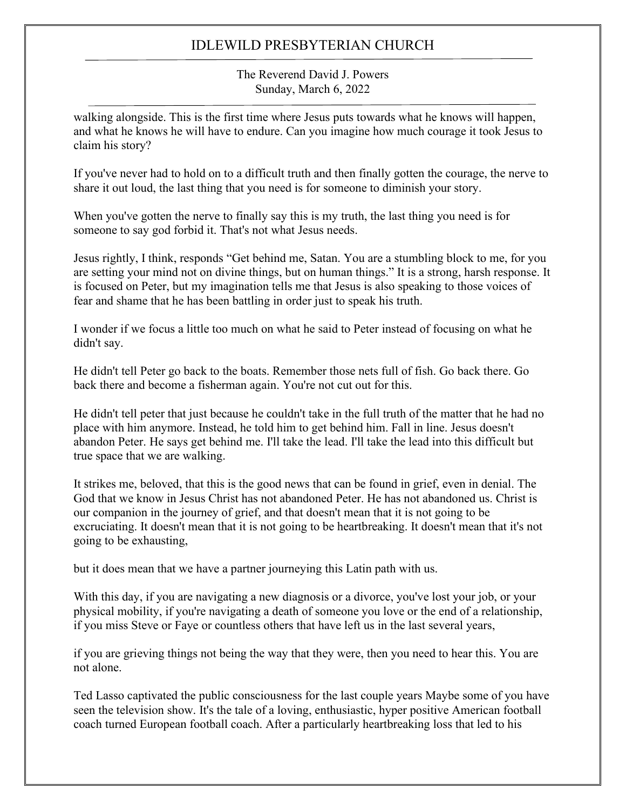The Reverend David J. Powers Sunday, March 6, 2022

walking alongside. This is the first time where Jesus puts towards what he knows will happen, and what he knows he will have to endure. Can you imagine how much courage it took Jesus to claim his story?

If you've never had to hold on to a difficult truth and then finally gotten the courage, the nerve to share it out loud, the last thing that you need is for someone to diminish your story.

When you've gotten the nerve to finally say this is my truth, the last thing you need is for someone to say god forbid it. That's not what Jesus needs.

Jesus rightly, I think, responds "Get behind me, Satan. You are a stumbling block to me, for you are setting your mind not on divine things, but on human things." It is a strong, harsh response. It is focused on Peter, but my imagination tells me that Jesus is also speaking to those voices of fear and shame that he has been battling in order just to speak his truth.

I wonder if we focus a little too much on what he said to Peter instead of focusing on what he didn't say.

He didn't tell Peter go back to the boats. Remember those nets full of fish. Go back there. Go back there and become a fisherman again. You're not cut out for this.

He didn't tell peter that just because he couldn't take in the full truth of the matter that he had no place with him anymore. Instead, he told him to get behind him. Fall in line. Jesus doesn't abandon Peter. He says get behind me. I'll take the lead. I'll take the lead into this difficult but true space that we are walking.

It strikes me, beloved, that this is the good news that can be found in grief, even in denial. The God that we know in Jesus Christ has not abandoned Peter. He has not abandoned us. Christ is our companion in the journey of grief, and that doesn't mean that it is not going to be excruciating. It doesn't mean that it is not going to be heartbreaking. It doesn't mean that it's not going to be exhausting,

but it does mean that we have a partner journeying this Latin path with us.

With this day, if you are navigating a new diagnosis or a divorce, you've lost your job, or your physical mobility, if you're navigating a death of someone you love or the end of a relationship, if you miss Steve or Faye or countless others that have left us in the last several years,

if you are grieving things not being the way that they were, then you need to hear this. You are not alone.

Ted Lasso captivated the public consciousness for the last couple years Maybe some of you have seen the television show. It's the tale of a loving, enthusiastic, hyper positive American football coach turned European football coach. After a particularly heartbreaking loss that led to his